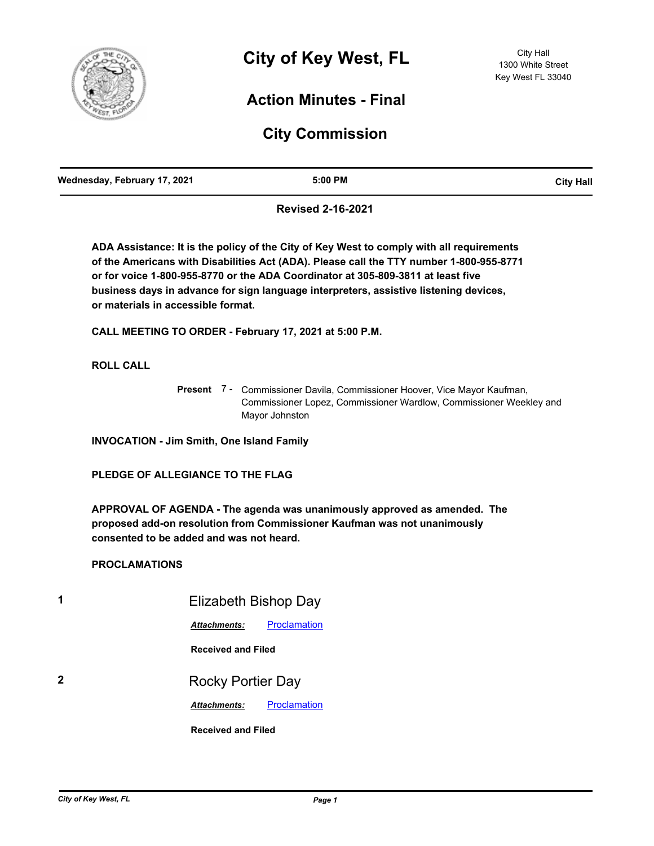

# **Action Minutes - Final**

# **City Commission**

| Wednesday, February 17, 2021 | 5:00 PM | <b>City Hall</b> |
|------------------------------|---------|------------------|
|                              |         |                  |

**Revised 2-16-2021**

**ADA Assistance: It is the policy of the City of Key West to comply with all requirements of the Americans with Disabilities Act (ADA). Please call the TTY number 1-800-955-8771 or for voice 1-800-955-8770 or the ADA Coordinator at 305-809-3811 at least five business days in advance for sign language interpreters, assistive listening devices, or materials in accessible format.**

**CALL MEETING TO ORDER - February 17, 2021 at 5:00 P.M.**

**ROLL CALL**

Present 7 - Commissioner Davila, Commissioner Hoover, Vice Mayor Kaufman, Commissioner Lopez, Commissioner Wardlow, Commissioner Weekley and Mayor Johnston

**INVOCATION - Jim Smith, One Island Family**

**PLEDGE OF ALLEGIANCE TO THE FLAG**

**APPROVAL OF AGENDA - The agenda was unanimously approved as amended. The proposed add-on resolution from Commissioner Kaufman was not unanimously consented to be added and was not heard.**

# **PROCLAMATIONS**

**1** Elizabeth Bishop Day *Attachments:* [Proclamation](http://KeyWest.legistar.com/gateway.aspx?M=F&ID=15ad3af2-ad50-4a08-986c-adb8266971a9.pdf) **Received and Filed 2** Rocky Portier Day **Attachments:** [Proclamation](http://KeyWest.legistar.com/gateway.aspx?M=F&ID=00ed31fd-30b3-457a-8ac8-a4ccba8942a5.pdf) **Received and Filed**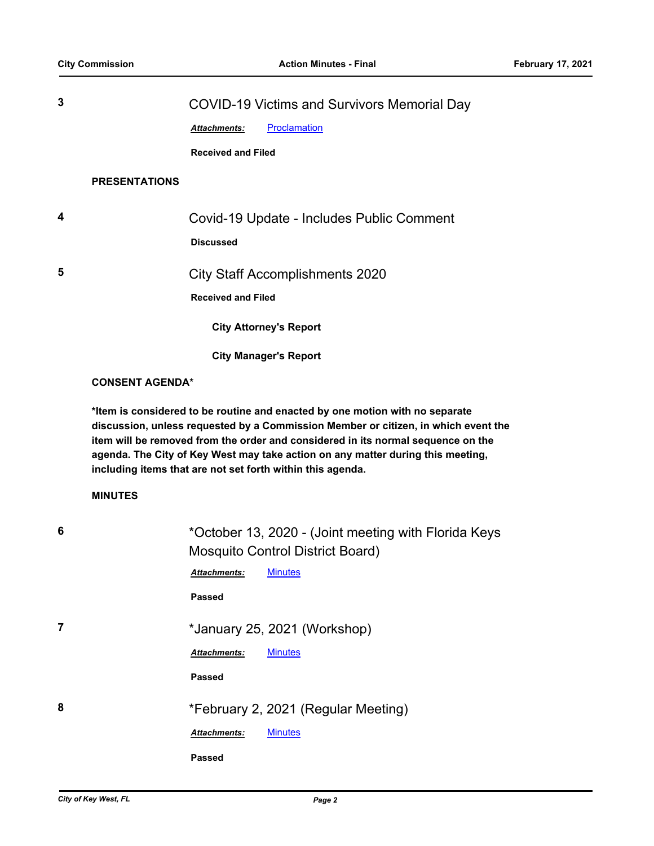| 3 |                        | <b>COVID-19 Victims and Survivors Memorial Day</b>                                                                                                                                                                                                                                                                      |
|---|------------------------|-------------------------------------------------------------------------------------------------------------------------------------------------------------------------------------------------------------------------------------------------------------------------------------------------------------------------|
|   |                        | Proclamation<br>Attachments:                                                                                                                                                                                                                                                                                            |
|   |                        | <b>Received and Filed</b>                                                                                                                                                                                                                                                                                               |
|   | <b>PRESENTATIONS</b>   |                                                                                                                                                                                                                                                                                                                         |
|   |                        |                                                                                                                                                                                                                                                                                                                         |
| 4 |                        | Covid-19 Update - Includes Public Comment                                                                                                                                                                                                                                                                               |
|   |                        | <b>Discussed</b>                                                                                                                                                                                                                                                                                                        |
| 5 |                        | <b>City Staff Accomplishments 2020</b>                                                                                                                                                                                                                                                                                  |
|   |                        | <b>Received and Filed</b>                                                                                                                                                                                                                                                                                               |
|   |                        | <b>City Attorney's Report</b>                                                                                                                                                                                                                                                                                           |
|   |                        | <b>City Manager's Report</b>                                                                                                                                                                                                                                                                                            |
|   | <b>CONSENT AGENDA*</b> |                                                                                                                                                                                                                                                                                                                         |
|   | <b>MINUTES</b>         | discussion, unless requested by a Commission Member or citizen, in which event the<br>item will be removed from the order and considered in its normal sequence on the<br>agenda. The City of Key West may take action on any matter during this meeting,<br>including items that are not set forth within this agenda. |
|   |                        |                                                                                                                                                                                                                                                                                                                         |
| 6 |                        | *October 13, 2020 - (Joint meeting with Florida Keys                                                                                                                                                                                                                                                                    |
|   |                        | <b>Mosquito Control District Board)</b><br><b>Minutes</b><br>Attachments:                                                                                                                                                                                                                                               |
|   |                        | <b>Passed</b>                                                                                                                                                                                                                                                                                                           |
|   |                        |                                                                                                                                                                                                                                                                                                                         |
| 7 |                        | *January 25, 2021 (Workshop)                                                                                                                                                                                                                                                                                            |
|   |                        | <b>Minutes</b><br>Attachments:                                                                                                                                                                                                                                                                                          |
|   |                        | <b>Passed</b>                                                                                                                                                                                                                                                                                                           |
| 8 |                        | *February 2, 2021 (Regular Meeting)                                                                                                                                                                                                                                                                                     |
|   |                        | Attachments:<br><b>Minutes</b>                                                                                                                                                                                                                                                                                          |
|   |                        |                                                                                                                                                                                                                                                                                                                         |
|   |                        | <b>Passed</b>                                                                                                                                                                                                                                                                                                           |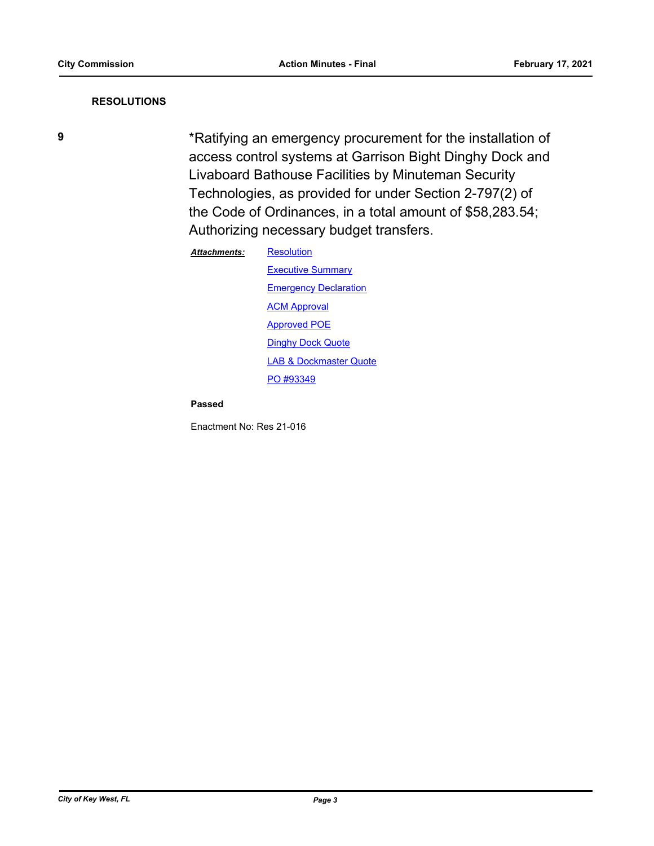## **RESOLUTIONS**

**9** \*Ratifying an emergency procurement for the installation of access control systems at Garrison Bight Dinghy Dock and Livaboard Bathouse Facilities by Minuteman Security Technologies, as provided for under Section 2-797(2) of the Code of Ordinances, in a total amount of \$58,283.54; Authorizing necessary budget transfers.

#### **[Resolution](http://KeyWest.legistar.com/gateway.aspx?M=F&ID=6412684e-e234-4718-9096-bcd00d3182cc.pdf)** *Attachments:*

**[Executive Summary](http://KeyWest.legistar.com/gateway.aspx?M=F&ID=ddeeaf2d-28ce-49cc-8b77-d8d5b21d4629.pdf) [Emergency Declaration](http://KeyWest.legistar.com/gateway.aspx?M=F&ID=ec65d938-e85f-4517-8cd9-2cd741915db9.pdf)** [ACM Approval](http://KeyWest.legistar.com/gateway.aspx?M=F&ID=014c8926-0520-4672-acb8-fc459927dd5d.pdf) [Approved POE](http://KeyWest.legistar.com/gateway.aspx?M=F&ID=0cf2851d-59f0-4ae5-a51c-8e9d22617986.pdf) **[Dinghy Dock Quote](http://KeyWest.legistar.com/gateway.aspx?M=F&ID=252d4bc2-310b-45fd-a342-1a48f4d175ac.pdf)** [LAB & Dockmaster Quote](http://KeyWest.legistar.com/gateway.aspx?M=F&ID=0a0d1dc2-c814-4d94-b787-c0b7c9203ebb.pdf) [PO #93349](http://KeyWest.legistar.com/gateway.aspx?M=F&ID=921c51ee-07b2-4ab9-8881-2ddcf05db89c.pdf)

#### **Passed**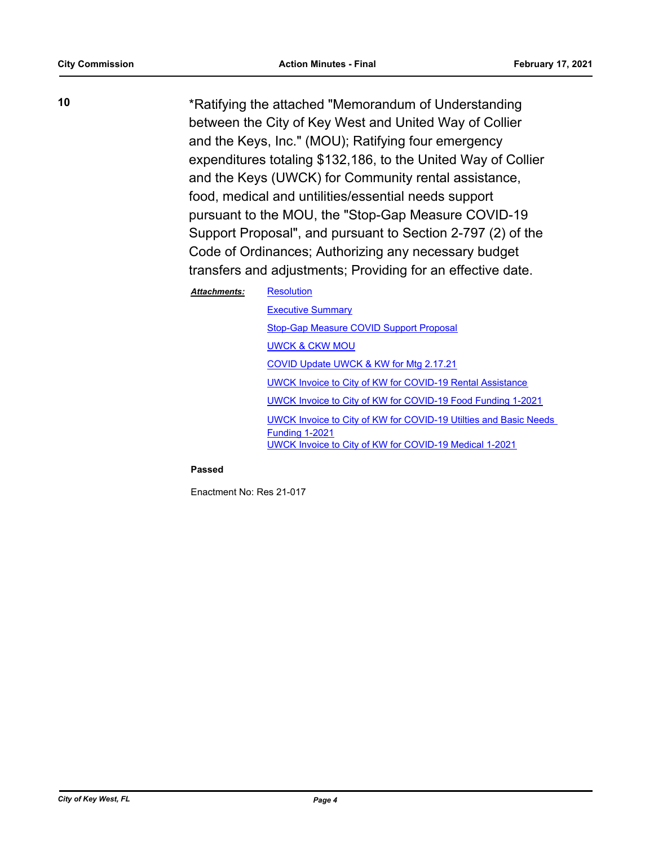**10** \*Ratifying the attached "Memorandum of Understanding between the City of Key West and United Way of Collier and the Keys, Inc." (MOU); Ratifying four emergency expenditures totaling \$132,186, to the United Way of Collier and the Keys (UWCK) for Community rental assistance, food, medical and untilities/essential needs support pursuant to the MOU, the "Stop-Gap Measure COVID-19 Support Proposal", and pursuant to Section 2-797 (2) of the Code of Ordinances; Authorizing any necessary budget transfers and adjustments; Providing for an effective date.

#### **[Resolution](http://KeyWest.legistar.com/gateway.aspx?M=F&ID=75df691c-0653-4964-b085-ac8df63dbe54.pdf)** *Attachments:*

[Executive Summary](http://KeyWest.legistar.com/gateway.aspx?M=F&ID=f9a805f1-db63-4801-8d90-9cab631eb1b8.pdf) [Stop-Gap Measure COVID Support Proposal](http://KeyWest.legistar.com/gateway.aspx?M=F&ID=839fea4c-c203-4b65-afcd-2838db5b7d3c.pdf) [UWCK & CKW MOU](http://KeyWest.legistar.com/gateway.aspx?M=F&ID=7dba397a-f81f-4135-85cc-5c9a850c398f.pdf) [COVID Update UWCK & KW for Mtg 2.17.21](http://KeyWest.legistar.com/gateway.aspx?M=F&ID=45629ac4-809b-4f97-8514-2de25663c60b.pdf) [UWCK Invoice to City of KW for COVID-19 Rental Assistance](http://KeyWest.legistar.com/gateway.aspx?M=F&ID=72e6f558-1312-404d-83a4-6e2f68eb0a19.pdf) [UWCK Invoice to City of KW for COVID-19 Food Funding 1-2021](http://KeyWest.legistar.com/gateway.aspx?M=F&ID=8336ac48-990b-4065-919b-3b2c3c68bdb1.pdf) [UWCK Invoice to City of KW for COVID-19 Utilties and Basic Needs](http://KeyWest.legistar.com/gateway.aspx?M=F&ID=3d1eb995-f70d-4455-9145-96459880240f.pdf)  Funding 1-2021 [UWCK Invoice to City of KW for COVID-19 Medical 1-2021](http://KeyWest.legistar.com/gateway.aspx?M=F&ID=a38b6412-2e6d-477f-ac66-32054f3b866f.pdf)

### **Passed**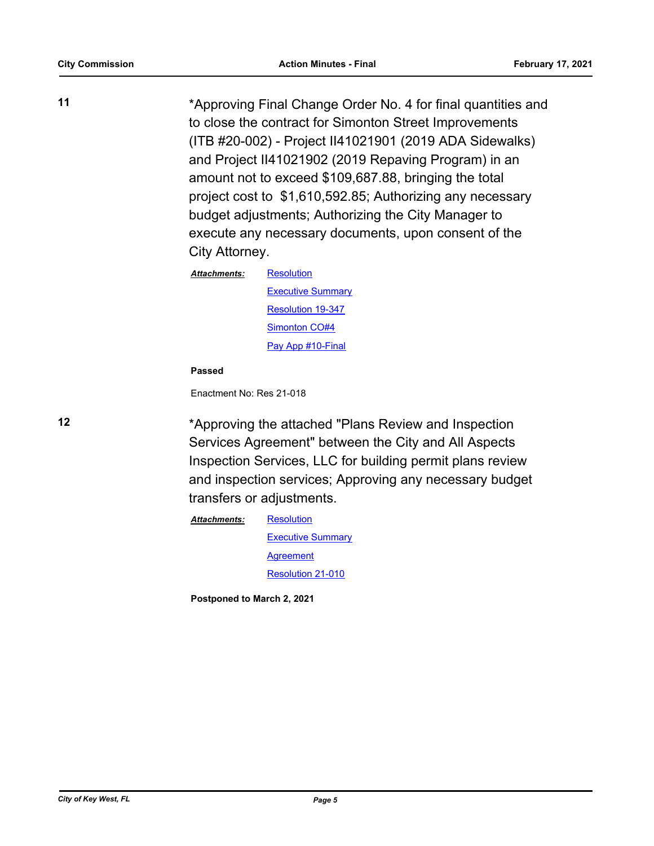**11** \*Approving Final Change Order No. 4 for final quantities and to close the contract for Simonton Street Improvements (ITB #20-002) - Project II41021901 (2019 ADA Sidewalks) and Project II41021902 (2019 Repaving Program) in an amount not to exceed \$109,687.88, bringing the total project cost to \$1,610,592.85; Authorizing any necessary budget adjustments; Authorizing the City Manager to execute any necessary documents, upon consent of the City Attorney.

| Attachments: | Resolution               |  |
|--------------|--------------------------|--|
|              | <b>Executive Summary</b> |  |
|              | <b>Resolution 19-347</b> |  |
|              | Simonton CO#4            |  |
|              | Pay App #10-Final        |  |

#### **Passed**

Enactment No: Res 21-018

**12** \*Approving the attached "Plans Review and Inspection Services Agreement" between the City and All Aspects Inspection Services, LLC for building permit plans review and inspection services; Approving any necessary budget transfers or adjustments.

> **[Resolution](http://KeyWest.legistar.com/gateway.aspx?M=F&ID=45bda6e2-9e17-47e5-b471-87a71455f6e2.pdf) [Executive Summary](http://KeyWest.legistar.com/gateway.aspx?M=F&ID=f35037de-81bb-4627-a7c7-b1c090211841.pdf)** [Agreement](http://KeyWest.legistar.com/gateway.aspx?M=F&ID=c6def41f-0cda-4a7e-811f-003ea119841a.pdf) [Resolution 21-010](http://KeyWest.legistar.com/gateway.aspx?M=F&ID=3f9fa357-c803-46a3-92b9-0f320c455b06.pdf) *Attachments:*

**Postponed to March 2, 2021**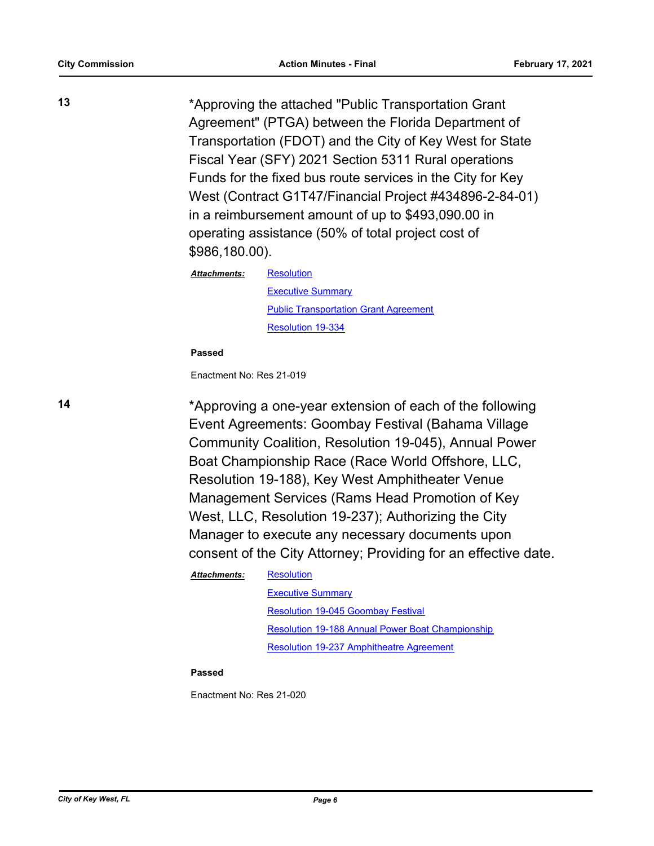**13** \*Approving the attached "Public Transportation Grant Agreement" (PTGA) between the Florida Department of Transportation (FDOT) and the City of Key West for State Fiscal Year (SFY) 2021 Section 5311 Rural operations Funds for the fixed bus route services in the City for Key West (Contract G1T47/Financial Project #434896-2-84-01) in a reimbursement amount of up to \$493,090.00 in operating assistance (50% of total project cost of \$986,180.00).

*Attachments:*

[Executive Summary](http://KeyWest.legistar.com/gateway.aspx?M=F&ID=d33c2d1b-473a-4a99-a8e8-1ad55db7b6a3.pdf) [Public Transportation Grant Agreement](http://KeyWest.legistar.com/gateway.aspx?M=F&ID=743e526e-c2e5-40f2-9364-66ef050c5d97.pdf) [Resolution 19-334](http://KeyWest.legistar.com/gateway.aspx?M=F&ID=efe43d72-078d-4cd5-9b59-ffb1bd32beb0.pdf)

**Passed**

Enactment No: Res 21-019

**[Resolution](http://KeyWest.legistar.com/gateway.aspx?M=F&ID=ecbc9a9f-e9a0-4807-a6a5-2ccf0433de58.pdf)** 

**14** \*Approving a one-year extension of each of the following Event Agreements: Goombay Festival (Bahama Village Community Coalition, Resolution 19-045), Annual Power Boat Championship Race (Race World Offshore, LLC, Resolution 19-188), Key West Amphitheater Venue Management Services (Rams Head Promotion of Key West, LLC, Resolution 19-237); Authorizing the City Manager to execute any necessary documents upon consent of the City Attorney; Providing for an effective date.

> **[Resolution](http://KeyWest.legistar.com/gateway.aspx?M=F&ID=ad675744-57c4-4731-9301-c9ce7d50545f.pdf)** *Attachments:*

> > [Executive Summary](http://KeyWest.legistar.com/gateway.aspx?M=F&ID=c04e779c-9134-4552-9ebf-d0942e785d0b.pdf) [Resolution 19-045 Goombay Festival](http://KeyWest.legistar.com/gateway.aspx?M=F&ID=c9633a80-c59e-42a9-bf4b-9828639e6974.pdf) [Resolution 19-188 Annual Power Boat Championship](http://KeyWest.legistar.com/gateway.aspx?M=F&ID=b544118a-a4a8-4454-ac2a-acdec8707bd6.pdf) [Resolution 19-237 Amphitheatre Agreement](http://KeyWest.legistar.com/gateway.aspx?M=F&ID=ae0f6c7a-bdb6-4c58-b298-bf6098de3e9e.pdf)

#### **Passed**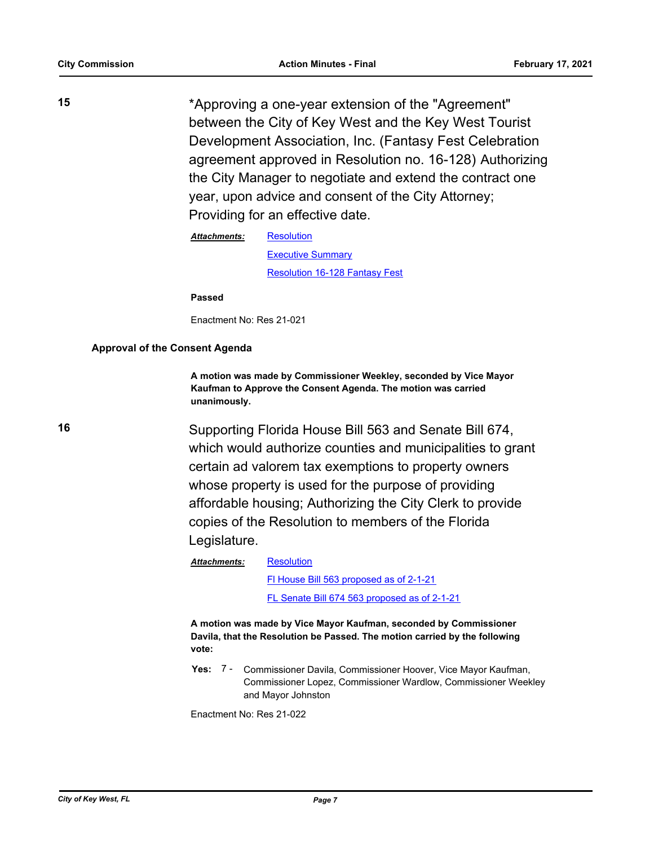**15** \*Approving a one-year extension of the "Agreement" between the City of Key West and the Key West Tourist Development Association, Inc. (Fantasy Fest Celebration agreement approved in Resolution no. 16-128) Authorizing the City Manager to negotiate and extend the contract one year, upon advice and consent of the City Attorney; Providing for an effective date.

> **[Resolution](http://KeyWest.legistar.com/gateway.aspx?M=F&ID=1d4b6692-da70-4a6e-b2b3-9f1d9f0015a3.pdf)** [Executive Summary](http://KeyWest.legistar.com/gateway.aspx?M=F&ID=eb2249b6-fd49-41c1-85c9-1680ebe1ad20.pdf) [Resolution 16-128 Fantasy Fest](http://KeyWest.legistar.com/gateway.aspx?M=F&ID=08e4628a-a6e7-494c-8322-b108ec20c788.pdf) *Attachments:*

**Passed**

Enactment No: Res 21-021

# **Approval of the Consent Agenda**

**A motion was made by Commissioner Weekley, seconded by Vice Mayor Kaufman to Approve the Consent Agenda. The motion was carried unanimously.**

**16** Supporting Florida House Bill 563 and Senate Bill 674, which would authorize counties and municipalities to grant certain ad valorem tax exemptions to property owners whose property is used for the purpose of providing affordable housing; Authorizing the City Clerk to provide copies of the Resolution to members of the Florida Legislature.

> **[Resolution](http://KeyWest.legistar.com/gateway.aspx?M=F&ID=00735312-53f4-415b-b316-38de71c45253.pdf)** *Attachments:*

> > [Fl House Bill 563 proposed as of 2-1-21](http://KeyWest.legistar.com/gateway.aspx?M=F&ID=56782810-bf7e-4bae-98fb-704480d832aa.pdf) [FL Senate Bill 674 563 proposed as of 2-1-21](http://KeyWest.legistar.com/gateway.aspx?M=F&ID=ca643b9f-1ab8-485f-938a-5df545f2d239.pdf)

**A motion was made by Vice Mayor Kaufman, seconded by Commissioner Davila, that the Resolution be Passed. The motion carried by the following vote:**

**Yes:** Commissioner Davila, Commissioner Hoover, Vice Mayor Kaufman, Commissioner Lopez, Commissioner Wardlow, Commissioner Weekley and Mayor Johnston Yes: 7 -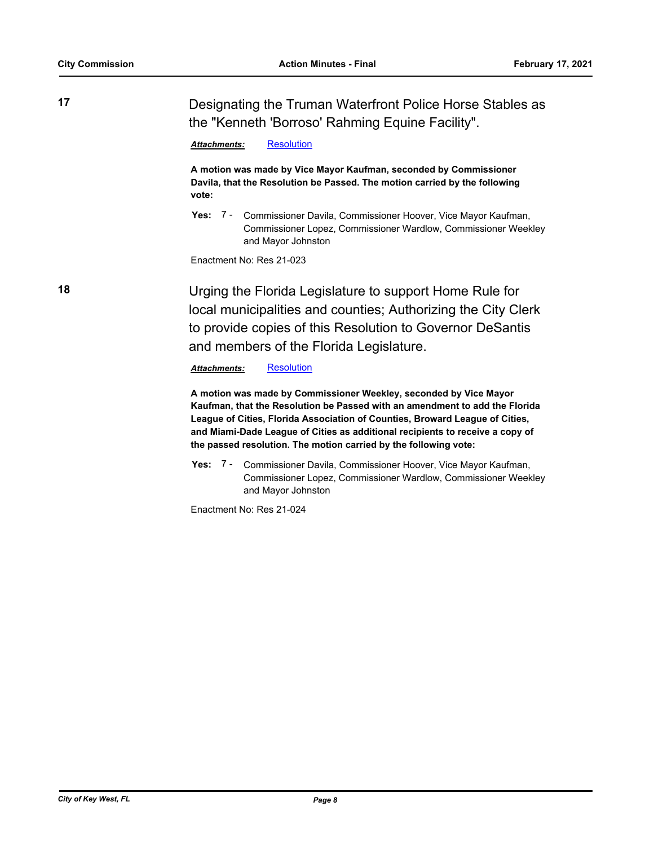**17** Designating the Truman Waterfront Police Horse Stables as the "Kenneth 'Borroso' Rahming Equine Facility".

*Attachments:* [Resolution](http://KeyWest.legistar.com/gateway.aspx?M=F&ID=ed53c8a3-704d-42fd-a207-69a728dc724a.pdf)

**A motion was made by Vice Mayor Kaufman, seconded by Commissioner Davila, that the Resolution be Passed. The motion carried by the following vote:**

Yes: 7 - Commissioner Davila, Commissioner Hoover, Vice Mayor Kaufman, Commissioner Lopez, Commissioner Wardlow, Commissioner Weekley and Mayor Johnston

Enactment No: Res 21-023

**18** Urging the Florida Legislature to support Home Rule for local municipalities and counties; Authorizing the City Clerk to provide copies of this Resolution to Governor DeSantis and members of the Florida Legislature.

*Attachments:* [Resolution](http://KeyWest.legistar.com/gateway.aspx?M=F&ID=e64be17f-5ce0-4da0-ada7-0b749087e00e.pdf)

**A motion was made by Commissioner Weekley, seconded by Vice Mayor Kaufman, that the Resolution be Passed with an amendment to add the Florida League of Cities, Florida Association of Counties, Broward League of Cities, and Miami-Dade League of Cities as additional recipients to receive a copy of the passed resolution. The motion carried by the following vote:**

Yes: 7 - Commissioner Davila, Commissioner Hoover, Vice Mayor Kaufman, Commissioner Lopez, Commissioner Wardlow, Commissioner Weekley and Mayor Johnston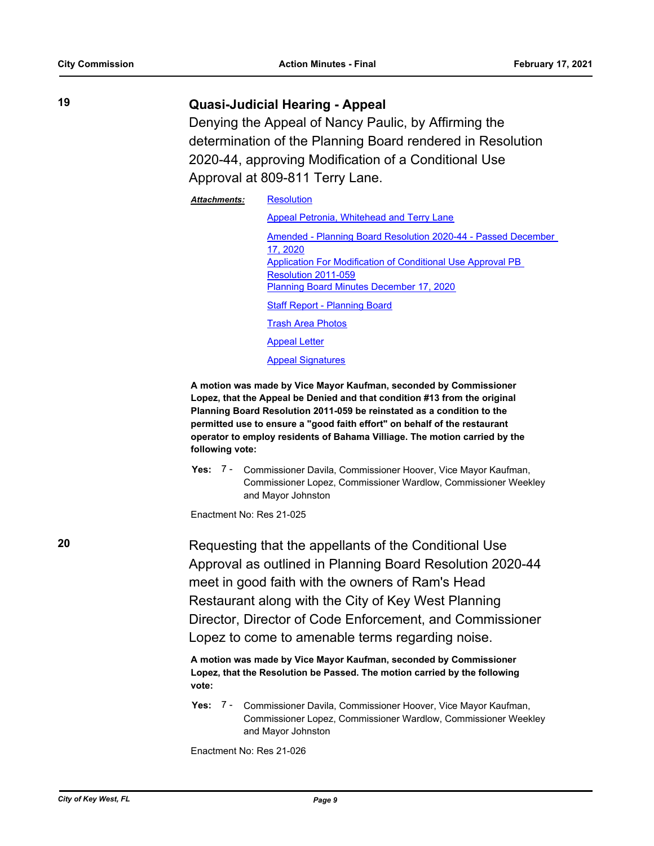# **19 Quasi-Judicial Hearing - Appeal**

Denying the Appeal of Nancy Paulic, by Affirming the determination of the Planning Board rendered in Resolution 2020-44, approving Modification of a Conditional Use Approval at 809-811 Terry Lane.

| <b>Attachments:</b> | <b>Resolution</b>                                                 |  |  |
|---------------------|-------------------------------------------------------------------|--|--|
|                     | Appeal Petronia, Whitehead and Terry Lane                         |  |  |
|                     | Amended - Planning Board Resolution 2020-44 - Passed December     |  |  |
|                     | 17, 2020                                                          |  |  |
|                     | Application For Modification of Conditional Use Approval PB       |  |  |
|                     | Resolution 2011-059                                               |  |  |
|                     | <b>Planning Board Minutes December 17, 2020</b>                   |  |  |
|                     | <b>Staff Report - Planning Board</b>                              |  |  |
|                     | <b>Trash Area Photos</b>                                          |  |  |
|                     | <b>Appeal Letter</b>                                              |  |  |
|                     | <b>Appeal Signatures</b>                                          |  |  |
|                     | A metica waa mede hy Vias Mayar Kaufman, asaanded hy Cammiasianar |  |  |

**A motion was made by Vice Mayor Kaufman, seconded by Commissioner Lopez, that the Appeal be Denied and that condition #13 from the original Planning Board Resolution 2011-059 be reinstated as a condition to the permitted use to ensure a "good faith effort" on behalf of the restaurant operator to employ residents of Bahama Villiage. The motion carried by the following vote:**

Yes: 7 - Commissioner Davila, Commissioner Hoover, Vice Mayor Kaufman, Commissioner Lopez, Commissioner Wardlow, Commissioner Weekley and Mayor Johnston

Enactment No: Res 21-025

**20 Requesting that the appellants of the Conditional Use** Approval as outlined in Planning Board Resolution 2020-44 meet in good faith with the owners of Ram's Head Restaurant along with the City of Key West Planning Director, Director of Code Enforcement, and Commissioner Lopez to come to amenable terms regarding noise.

> **A motion was made by Vice Mayor Kaufman, seconded by Commissioner Lopez, that the Resolution be Passed. The motion carried by the following vote:**

Yes: 7 - Commissioner Davila, Commissioner Hoover, Vice Mayor Kaufman, Commissioner Lopez, Commissioner Wardlow, Commissioner Weekley and Mayor Johnston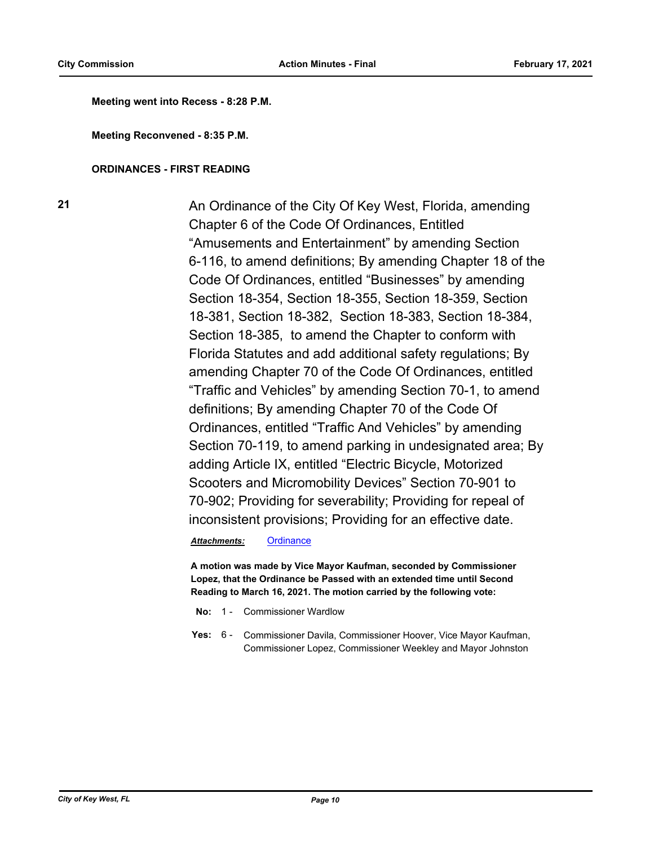**Meeting went into Recess - 8:28 P.M.**

**Meeting Reconvened - 8:35 P.M.**

#### **ORDINANCES - FIRST READING**

**21** An Ordinance of the City Of Key West, Florida, amending Chapter 6 of the Code Of Ordinances, Entitled "Amusements and Entertainment" by amending Section 6-116, to amend definitions; By amending Chapter 18 of the Code Of Ordinances, entitled "Businesses" by amending Section 18-354, Section 18-355, Section 18-359, Section 18-381, Section 18-382, Section 18-383, Section 18-384, Section 18-385, to amend the Chapter to conform with Florida Statutes and add additional safety regulations; By amending Chapter 70 of the Code Of Ordinances, entitled "Traffic and Vehicles" by amending Section 70-1, to amend definitions; By amending Chapter 70 of the Code Of Ordinances, entitled "Traffic And Vehicles" by amending Section 70-119, to amend parking in undesignated area; By adding Article IX, entitled "Electric Bicycle, Motorized Scooters and Micromobility Devices" Section 70-901 to 70-902; Providing for severability; Providing for repeal of inconsistent provisions; Providing for an effective date.

#### *Attachments:* [Ordinance](http://KeyWest.legistar.com/gateway.aspx?M=F&ID=08425acf-aba9-4b46-9e48-c6d5ee007adb.pdf)

**A motion was made by Vice Mayor Kaufman, seconded by Commissioner Lopez, that the Ordinance be Passed with an extended time until Second Reading to March 16, 2021. The motion carried by the following vote:**

- **No:** 1 Commissioner Wardlow
- Yes: 6 Commissioner Davila, Commissioner Hoover, Vice Mayor Kaufman, Commissioner Lopez, Commissioner Weekley and Mayor Johnston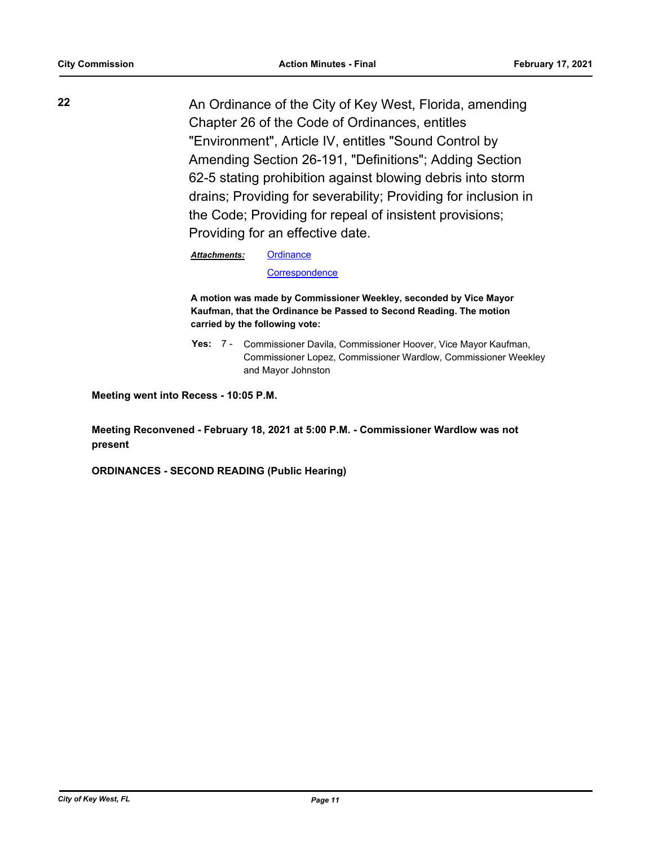**22** An Ordinance of the City of Key West, Florida, amending Chapter 26 of the Code of Ordinances, entitles "Environment", Article IV, entitles "Sound Control by Amending Section 26-191, "Definitions"; Adding Section 62-5 stating prohibition against blowing debris into storm drains; Providing for severability; Providing for inclusion in the Code; Providing for repeal of insistent provisions; Providing for an effective date.

*Attachments:*

**[Ordinance](http://KeyWest.legistar.com/gateway.aspx?M=F&ID=1d235c68-6a85-48e3-988d-853d4e516135.pdf)** 

**[Correspondence](http://KeyWest.legistar.com/gateway.aspx?M=F&ID=7f3e3947-bdb3-405d-a5b1-6bf718b772a4.pdf)** 

**A motion was made by Commissioner Weekley, seconded by Vice Mayor Kaufman, that the Ordinance be Passed to Second Reading. The motion carried by the following vote:**

Yes: 7 - Commissioner Davila, Commissioner Hoover, Vice Mayor Kaufman, Commissioner Lopez, Commissioner Wardlow, Commissioner Weekley and Mayor Johnston

**Meeting went into Recess - 10:05 P.M.**

**Meeting Reconvened - February 18, 2021 at 5:00 P.M. - Commissioner Wardlow was not present**

**ORDINANCES - SECOND READING (Public Hearing)**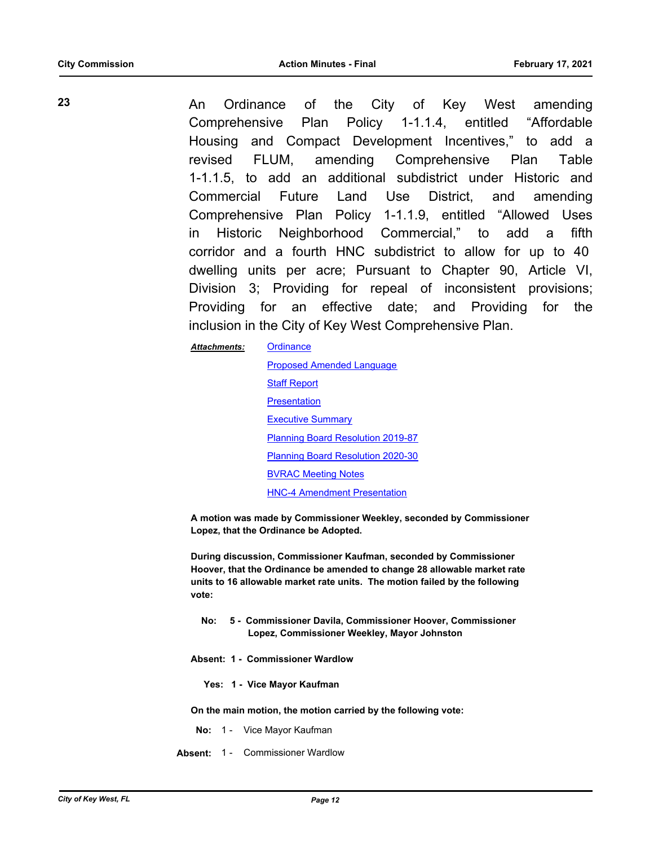**23** An Ordinance of the City of Key West amending Comprehensive Plan Policy 1-1.1.4, entitled "Affordable Housing and Compact Development Incentives," to add a revised FLUM, amending Comprehensive Plan Table 1-1.1.5, to add an additional subdistrict under Historic and Commercial Future Land Use District, and amending Comprehensive Plan Policy 1-1.1.9, entitled "Allowed Uses

in Historic Neighborhood Commercial," to add a fifth corridor and a fourth HNC subdistrict to allow for up to 40 dwelling units per acre; Pursuant to Chapter 90, Article VI, Division 3; Providing for repeal of inconsistent provisions; Providing for an effective date; and Providing for the inclusion in the City of Key West Comprehensive Plan.

> **[Ordinance](http://KeyWest.legistar.com/gateway.aspx?M=F&ID=793913a0-76ce-4e30-8d91-ca85431856ab.pdf)** [Proposed Amended Language](http://KeyWest.legistar.com/gateway.aspx?M=F&ID=293f7c9b-d8bd-4c24-bd94-ee78381676e7.pdf) **[Staff Report](http://KeyWest.legistar.com/gateway.aspx?M=F&ID=0c5fd93f-734a-48e7-8f26-7a1d841b8bda.pdf) [Presentation](http://KeyWest.legistar.com/gateway.aspx?M=F&ID=daef02fe-893b-4a39-af7a-9176396befb1.pdf)** [Executive Summary](http://KeyWest.legistar.com/gateway.aspx?M=F&ID=b8a5db17-3552-401a-a767-fecc495f8520.docx) [Planning Board Resolution 2019-87](http://KeyWest.legistar.com/gateway.aspx?M=F&ID=1896d3fd-9f73-4139-a59e-7a85543caf47.pdf) [Planning Board Resolution 2020-30](http://KeyWest.legistar.com/gateway.aspx?M=F&ID=f1ee726a-c456-457d-8207-865ce6c9fa4e.pdf) [BVRAC Meeting Notes](http://KeyWest.legistar.com/gateway.aspx?M=F&ID=d5643e73-6c7a-4e85-a2bf-e1b840380abf.pdf) [HNC-4 Amendment Presentation](http://KeyWest.legistar.com/gateway.aspx?M=F&ID=080f09bc-5802-466b-af8f-ca5a9e719afe.pdf)

**A motion was made by Commissioner Weekley, seconded by Commissioner Lopez, that the Ordinance be Adopted.** 

**During discussion, Commissioner Kaufman, seconded by Commissioner Hoover, that the Ordinance be amended to change 28 allowable market rate units to 16 allowable market rate units. The motion failed by the following vote:**

- **No: 5 Commissioner Davila, Commissioner Hoover, Commissioner Lopez, Commissioner Weekley, Mayor Johnston**
- **Absent: 1 Commissioner Wardlow**

*Attachments:*

 **Yes: 1 - Vice Mayor Kaufman**

**On the main motion, the motion carried by the following vote:**

- **No:** 1 Vice Mayor Kaufman
- **Absent:** 1 Commissioner Wardlow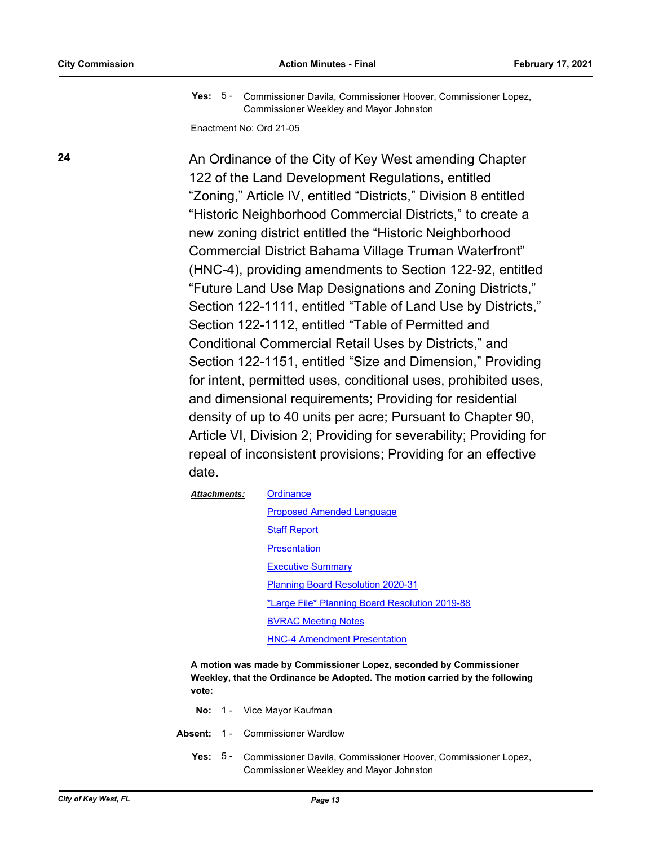Yes: 5 - Commissioner Davila, Commissioner Hoover, Commissioner Lopez, Commissioner Weekley and Mayor Johnston

Enactment No: Ord 21-05

**24** An Ordinance of the City of Key West amending Chapter 122 of the Land Development Regulations, entitled "Zoning," Article IV, entitled "Districts," Division 8 entitled "Historic Neighborhood Commercial Districts," to create a new zoning district entitled the "Historic Neighborhood Commercial District Bahama Village Truman Waterfront" (HNC-4), providing amendments to Section 122-92, entitled "Future Land Use Map Designations and Zoning Districts," Section 122-1111, entitled "Table of Land Use by Districts," Section 122-1112, entitled "Table of Permitted and Conditional Commercial Retail Uses by Districts," and Section 122-1151, entitled "Size and Dimension," Providing for intent, permitted uses, conditional uses, prohibited uses, and dimensional requirements; Providing for residential density of up to 40 units per acre; Pursuant to Chapter 90, Article VI, Division 2; Providing for severability; Providing for repeal of inconsistent provisions; Providing for an effective date.

| <b>Attachments:</b> | Ordinance                                      |  |
|---------------------|------------------------------------------------|--|
|                     | <b>Proposed Amended Language</b>               |  |
|                     | <b>Staff Report</b>                            |  |
|                     | Presentation                                   |  |
|                     | <b>Executive Summary</b>                       |  |
|                     | <b>Planning Board Resolution 2020-31</b>       |  |
|                     | *Large File* Planning Board Resolution 2019-88 |  |
|                     | <b>BVRAC Meeting Notes</b>                     |  |
|                     | <b>HNC-4 Amendment Presentation</b>            |  |

**A motion was made by Commissioner Lopez, seconded by Commissioner Weekley, that the Ordinance be Adopted. The motion carried by the following vote:**

- **No:** 1 Vice Mayor Kaufman
- **Absent:** 1 Commissioner Wardlow
	- Yes: 5 Commissioner Davila, Commissioner Hoover, Commissioner Lopez, Commissioner Weekley and Mayor Johnston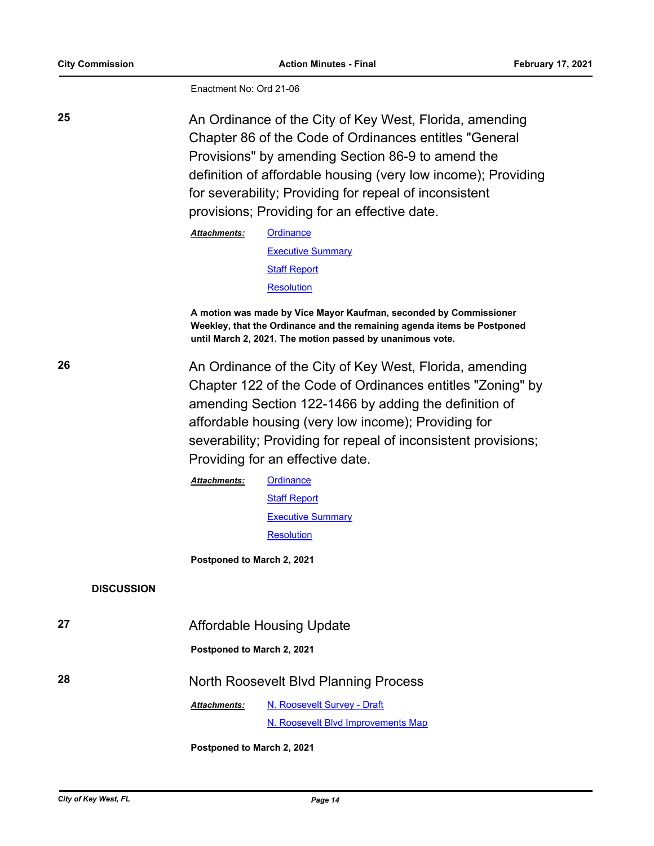Enactment No: Ord 21-06

**25** An Ordinance of the City of Key West, Florida, amending Chapter 86 of the Code of Ordinances entitles "General Provisions" by amending Section 86-9 to amend the definition of affordable housing (very low income); Providing for severability; Providing for repeal of inconsistent provisions; Providing for an effective date.

| <b>Attachments:</b> | Ordinance                |  |
|---------------------|--------------------------|--|
|                     | <b>Executive Summary</b> |  |
|                     | <b>Staff Report</b>      |  |
|                     | <b>Resolution</b>        |  |
|                     |                          |  |

**A motion was made by Vice Mayor Kaufman, seconded by Commissioner Weekley, that the Ordinance and the remaining agenda items be Postponed until March 2, 2021. The motion passed by unanimous vote.**

**26** An Ordinance of the City of Key West, Florida, amending Chapter 122 of the Code of Ordinances entitles "Zoning" by amending Section 122-1466 by adding the definition of affordable housing (very low income); Providing for severability; Providing for repeal of inconsistent provisions; Providing for an effective date.

> **[Ordinance](http://KeyWest.legistar.com/gateway.aspx?M=F&ID=6d84f7e1-8fa2-4d8e-be4a-499c16688bc6.pdf) [Staff Report](http://KeyWest.legistar.com/gateway.aspx?M=F&ID=0bdb9b99-b205-4f5f-8182-cd6d801b0d20.pdf)** [Executive Summary](http://KeyWest.legistar.com/gateway.aspx?M=F&ID=2a26f005-4340-4591-bfbe-4a92976b1ed4.pdf) **[Resolution](http://KeyWest.legistar.com/gateway.aspx?M=F&ID=363cc06b-6785-4e83-9a30-55c626c15572.pdf)** *Attachments:*

**Postponed to March 2, 2021**

### **DISCUSSION**

| 27 | Affordable Housing Update             |                                    |
|----|---------------------------------------|------------------------------------|
|    | Postponed to March 2, 2021            |                                    |
| 28 | North Roosevelt Blvd Planning Process |                                    |
|    | <b>Attachments:</b>                   | N. Roosevelt Survey - Draft        |
|    |                                       | N. Roosevelt Blyd Improvements Map |

**Postponed to March 2, 2021**